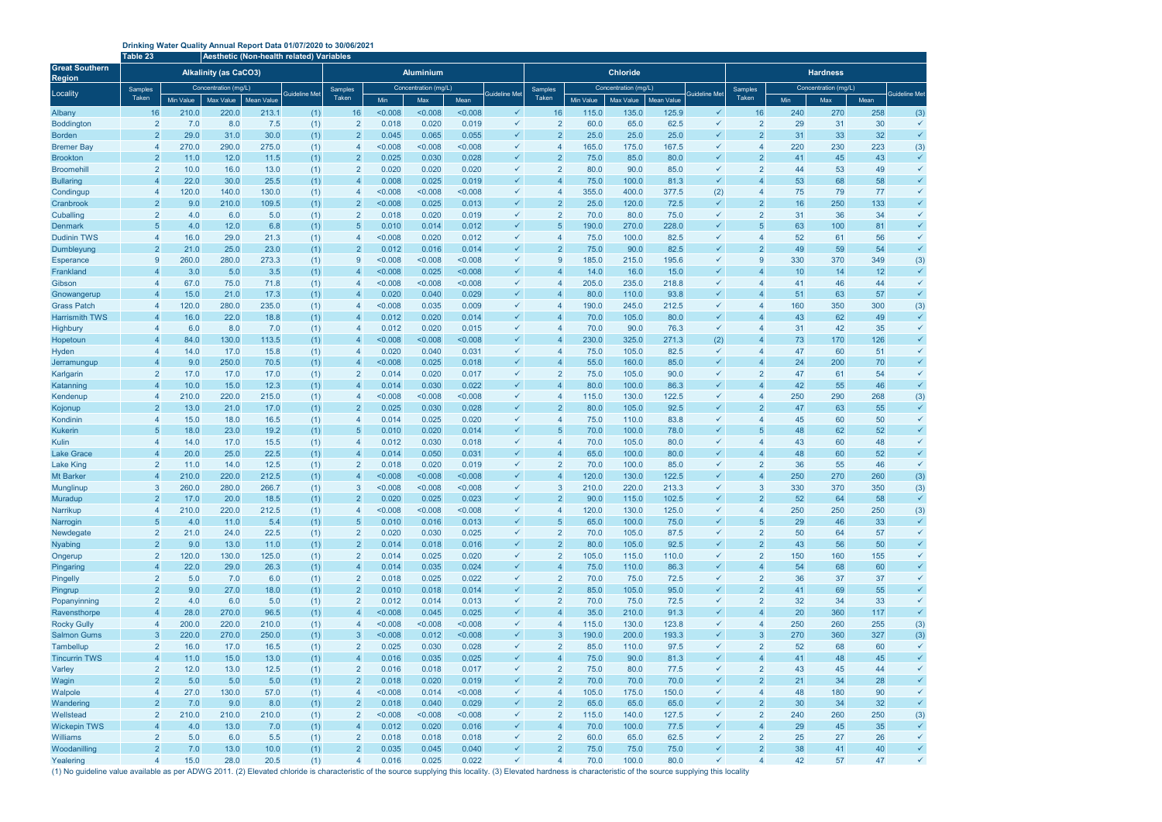## **Drinking Water Quality Annual Report Data 01/07/2020 to 30/06/2021**

|                                                    | Table 23<br>Aesthetic (Non-health related) Variables |                      |                              |                   |                      |                                  |                      |                |                |                              |                                  |              |                      |                   |                      |                    |           |                      |          |                              |  |
|----------------------------------------------------|------------------------------------------------------|----------------------|------------------------------|-------------------|----------------------|----------------------------------|----------------------|----------------|----------------|------------------------------|----------------------------------|--------------|----------------------|-------------------|----------------------|--------------------|-----------|----------------------|----------|------------------------------|--|
| <b>Great Southern</b><br><b>Region</b><br>Locality |                                                      |                      | <b>Alkalinity (as CaCO3)</b> |                   | <b>Aluminium</b>     |                                  |                      |                |                |                              |                                  |              | <b>Chloride</b>      |                   |                      | <b>Hardness</b>    |           |                      |          |                              |  |
|                                                    | Samples                                              | Concentration (mg/L) |                              |                   | <b>Guideline Met</b> | <b>Samples</b>                   | Concentration (mg/L) |                |                | <b>Guideline Met</b>         | <b>Samples</b>                   |              | Concentration (mg/L) |                   | <b>Guideline Met</b> | Samples            |           | Concentration (mg/L) |          | Guideline Met                |  |
|                                                    | Taken                                                | <b>Min Value</b>     | Max Value                    | <b>Mean Value</b> |                      | Taken                            | Min                  | Max            | Mean           |                              | Taken                            | Min Value    | Max Value            | <b>Mean Value</b> |                      | Taken              | Min       | Max                  | Mean     |                              |  |
| Albany                                             | 16                                                   | 210.0                | 220.0                        | 213.1             | (1)                  | 16                               | < 0.008              | < 0.008        | < 0.008        | $\checkmark$                 | 16                               | 115.0        | 135.0                | 125.9             | ✓                    | 16                 | 240       | 270                  | 258      | (3)                          |  |
| <b>Boddington</b>                                  | $\overline{2}$                                       | 7.0                  | 8.0                          | 7.5               | (1)                  | $\overline{2}$                   | 0.018                | 0.020          | 0.019          | ✓                            | $\overline{2}$                   | 60.0         | 65.0                 | 62.5              | ✓                    | $\overline{2}$     | 29        | 31                   | 30       | $\checkmark$                 |  |
| <b>Borden</b>                                      | $\overline{2}$                                       | 29.0                 | 31.0                         | 30.0              | (1)                  | $\overline{2}$                   | 0.045                | 0.065          | 0.055          | $\checkmark$                 | $\overline{2}$                   | 25.0         | 25.0                 | 25.0              | ✓                    | $\mathcal{P}$      | 31        | 33                   | 32       | $\checkmark$                 |  |
| <b>Bremer Bay</b>                                  | $\overline{4}$<br>$\overline{2}$                     | 270.0<br>11.0        | 290.0<br>12.0                | 275.0             | (1)                  | $\overline{4}$                   | < 0.008<br>0.025     | 0.008<br>0.030 | < 0.008        | $\checkmark$<br>$\checkmark$ | $\overline{4}$<br>$\overline{2}$ | 165.0        | 175.0<br>85.0        | 167.5<br>80.0     | ✓                    | 4<br>$\mathcal{P}$ | 220       | 230                  | 223      | (3)<br>$\checkmark$          |  |
| <b>Brookton</b><br><b>Broomehil</b>                | $\overline{2}$                                       | 10.0                 | 16.0                         | 11.5<br>13.0      | (1)                  | $\overline{2}$<br>$\overline{2}$ | 0.020                | 0.020          | 0.028<br>0.020 | ✓                            | $\overline{2}$                   | 75.0<br>80.0 | 90.0                 | 85.0              | ✓                    |                    | 41<br>44  | 45<br>53             | 43<br>49 | ✓                            |  |
| <b>Bullaring</b>                                   | $\overline{4}$                                       | 22.0                 | 30.0                         | 25.5              | (1)<br>(1)           | $\overline{4}$                   | 0.008                | 0.025          | 0.019          | ✓                            |                                  | 75.0         | 100.0                | 81.3              | $\checkmark$         |                    | 53        | 68                   | 58       | $\checkmark$                 |  |
| Condingup                                          | $\overline{4}$                                       | 120.0                | 140.0                        | 130.0             | (1)                  | $\overline{4}$                   | < 0.008              | < 0.008        | < 0.008        | ✓                            |                                  | 355.0        | 400.0                | 377.5             | (2)                  | 4                  | 75        | 79                   | 77       | $\checkmark$                 |  |
| Cranbrook                                          | $\overline{2}$                                       | 9.0                  | 210.0                        | 109.5             | (1)                  | $\overline{2}$                   | < 0.008              | 0.025          | 0.013          | $\checkmark$                 | $\overline{2}$                   | 25.0         | 120.0                | 72.5              | ✓                    | $\overline{2}$     | 16        | 250                  | 133      | $\checkmark$                 |  |
| Cuballing                                          | $\overline{2}$                                       | 4.0                  | 6.0                          | 5.0               | (1)                  | $\overline{2}$                   | 0.018                | 0.020          | 0.019          | ✓                            | $\overline{2}$                   | 70.0         | 80.0                 | 75.0              | ✓                    | 2                  | 31        | 36                   | 34       | $\checkmark$                 |  |
| <b>Denmark</b>                                     | 5                                                    | 4.0                  | 12.0                         | 6.8               | (1)                  | $5\overline{)}$                  | 0.010                | 0.014          | 0.012          | $\checkmark$                 | $\sqrt{5}$                       | 190.0        | 270.0                | 228.0             |                      | $\overline{5}$     | 63        | 100                  | 81       | $\checkmark$                 |  |
| <b>Dudinin TWS</b>                                 | $\overline{4}$                                       | 16.0                 | 29.0                         | 21.3              | (1)                  | $\overline{4}$                   | < 0.008              | 0.020          | 0.012          | ✓                            |                                  | 75.0         | 100.0                | 82.5              | $\checkmark$         | $\overline{a}$     | 52        | 61                   | 56       | $\checkmark$                 |  |
| Dumbleyung                                         | $\overline{2}$                                       | 21.0                 | 25.0                         | 23.0              | (1)                  | $\overline{2}$                   | 0.012                | 0.016          | 0.014          | $\checkmark$                 | $\mathcal{P}$                    | 75.0         | 90.0                 | 82.5              | ✓                    | $\mathcal{P}$      | 49        | 59                   | 54       | $\checkmark$                 |  |
| <b>Esperance</b>                                   | 9                                                    | 260.0                | 280.0                        | 273.3             | (1)                  | 9                                | < 0.008              | < 0.008        | < 0.008        | ✓                            | -9                               | 185.0        | 215.0                | 195.6             | ✓                    | 9                  | 330       | 370                  | 349      | (3)                          |  |
| Frankland                                          | $\overline{4}$                                       | 3.0                  | 5.0                          | 3.5               | (1)                  | $\overline{4}$                   | < 0.008              | 0.025          | < 0.008        | $\checkmark$                 |                                  | 14.0         | 16.0                 | 15.0              | $\checkmark$         |                    | 10        | 14                   | 12       | $\checkmark$                 |  |
| Gibson                                             | $\overline{4}$                                       | 67.0                 | 75.0                         | 71.8              | (1)                  | $\overline{4}$                   | < 0.008              | < 0.008        | < 0.008        | $\checkmark$                 |                                  | 205.0        | 235.0                | 218.8             | ✓                    | 4                  | 41        | 46                   | 44       | $\checkmark$                 |  |
| Gnowangerup                                        | $\overline{4}$                                       | 15.0                 | 21.0                         | 17.3              | (1)                  | $\overline{4}$                   | 0.020                | 0.040          | 0.029          | $\checkmark$                 |                                  | 80.0         | 110.0                | 93.8              | ✓                    |                    | 51        | 63                   | 57       | $\checkmark$                 |  |
| <b>Grass Patch</b>                                 | $\overline{4}$                                       | 120.0                | 280.0                        | 235.0             | (1)                  | $\overline{4}$                   | < 0.008              | 0.035          | 0.009          | ✓                            |                                  | 190.0        | 245.0                | 212.5             | ✓                    |                    | 160       | 350                  | 300      | (3)                          |  |
| <b>Harrismith TWS</b>                              | $\overline{4}$                                       | 16.0                 | 22.0                         | 18.8              | (1)                  | $\overline{4}$                   | 0.012                | 0.020          | 0.014          | $\checkmark$                 |                                  | 70.0         | 105.0                | 80.0              | ✓                    |                    | 43        | 62                   | 49       | $\checkmark$                 |  |
| Highbury                                           | $\overline{4}$                                       | 6.0                  | 8.0                          | 7.0               | (1)                  | $\overline{4}$                   | 0.012                | 0.020          | 0.015          | ✓                            |                                  | 70.0         | 90.0                 | 76.3              | $\checkmark$         | 4                  | 31        | 42                   | 35       | $\checkmark$                 |  |
| Hopetoun                                           | $\overline{4}$                                       | 84.0                 | 130.0                        | 113.5             | (1)                  | $\overline{4}$                   | < 0.008              | < 0.008        | < 0.008        | $\checkmark$                 |                                  | 230.0        | 325.0                | 271.3             | (2)                  |                    | 73        | 170                  | 126      | $\checkmark$                 |  |
| Hyden                                              | $\overline{4}$                                       | 14.0                 | 17.0                         | 15.8              | (1)                  | $\overline{4}$                   | 0.020                | 0.040          | 0.031          | $\checkmark$                 |                                  | 75.0         | 105.0                | 82.5              | ✓                    |                    | 47        | 60                   | 51       | $\checkmark$                 |  |
| Jerramungup                                        | $\overline{4}$                                       | 9.0                  | 250.0                        | 70.5              | (1)                  | $\overline{4}$                   | < 0.008              | 0.025          | 0.018          | ✓                            |                                  | 55.0         | 160.0                | 85.0              | $\checkmark$         |                    | 24        | 200                  | 70       | $\checkmark$                 |  |
| Karlgarin                                          | $\overline{2}$                                       | 17.0                 | 17.0                         | 17.0              | (1)                  | $\overline{2}$                   | 0.014                | 0.020          | 0.017          | ✓                            | $\overline{2}$                   | 75.0         | 105.0                | 90.0              | ✓                    | $\overline{2}$     | 47        | 61                   | 54       | $\checkmark$                 |  |
| Katanning                                          | $\overline{4}$                                       | 10.0                 | 15.0                         | 12.3              | (1)                  | $\overline{4}$                   | 0.014                | 0.030          | 0.022          | $\checkmark$                 |                                  | 80.0         | 100.0                | 86.3              | ✓                    |                    | 42        | 55                   | 46       | $\checkmark$                 |  |
| Kendenup                                           | $\overline{4}$                                       | 210.0                | 220.0                        | 215.0             | (1)                  | $\overline{4}$                   | < 0.008              | < 0.008        | < 0.008        | ✓                            |                                  | 115.0        | 130.0                | 122.5             | ✓                    | 4                  | 250       | 290                  | 268      | (3)                          |  |
| Kojonup                                            | $\overline{2}$                                       | 13.0                 | 21.0                         | 17.0              | (1)                  | $\overline{2}$                   | 0.025                | 0.030          | 0.028          | $\checkmark$                 | $\overline{2}$                   | 80.0         | 105.0                | 92.5              | ✓                    | $\overline{2}$     | 47        | 63                   | 55       | $\checkmark$                 |  |
| Kondinin                                           | $\overline{4}$                                       | 15.0                 | 18.0                         | 16.5              | (1)                  | $\overline{4}$                   | 0.014                | 0.025          | 0.020          | $\checkmark$                 | $\boldsymbol{\Lambda}$           | 75.0         | 110.0                | 83.8              | ✓                    |                    | 45        | 60                   | 50       | $\checkmark$                 |  |
| <b>Kukerin</b>                                     | 5                                                    | 18.0                 | 23.0                         | 19.2              | (1)                  | $\sqrt{5}$                       | 0.010                | 0.020          | 0.014          | $\checkmark$                 | -5                               | 70.0         | 100.0                | 78.0              |                      |                    | 48        | 62                   | 52       | $\checkmark$                 |  |
| Kulin                                              | $\overline{4}$                                       | 14.0                 | 17.0                         | 15.5              | (1)                  | $\overline{4}$                   | 0.012                | 0.030          | 0.018          | ✓<br>$\checkmark$            |                                  | 70.0         | 105.0                | 80.0              | ✓<br>$\checkmark$    |                    | 43        | 60                   | 48       | $\checkmark$<br>$\checkmark$ |  |
| <b>Lake Grace</b><br><b>Lake King</b>              | $\overline{4}$<br>$\overline{2}$                     | 20.0<br>11.0         | 25.0<br>14.0                 | 22.5<br>12.5      | (1)                  | $\overline{4}$<br>$\overline{2}$ | 0.014<br>0.018       | 0.050<br>0.020 | 0.031<br>0.019 | ✓                            | $\overline{2}$                   | 65.0<br>70.0 | 100.0<br>100.0       | 80.0<br>85.0      | ✓                    | $\overline{2}$     | 48        | 60<br>55             | 52<br>46 | $\checkmark$                 |  |
| <b>Mt Barker</b>                                   | $\overline{4}$                                       | 210.0                | 220.0                        | 212.5             | (1)<br>(1)           | $\overline{4}$                   | < 0.008              | < 0.008        | < 0.008        | ✓                            |                                  | 120.0        | 130.0                | 122.5             | $\checkmark$         |                    | 36<br>250 | 270                  | 260      | (3)                          |  |
| Munglinup                                          | 3                                                    | 260.0                | 280.0                        | 266.7             | (1)                  | 3                                | < 0.008              | < 0.008        | < 0.008        | $\checkmark$                 | 3                                | 210.0        | 220.0                | 213.3             | ✓                    | 3                  | 330       | 370                  | 350      | (3)                          |  |
| Muradup                                            | $\overline{2}$                                       | 17.0                 | 20.0                         | 18.5              | (1)                  | $\overline{2}$                   | 0.020                | 0.025          | 0.023          | ✓                            | $\overline{2}$                   | 90.0         | 115.0                | 102.5             | ✓                    | $\overline{2}$     | 52        | 64                   | 58       |                              |  |
| Narrikup                                           | $\overline{4}$                                       | 210.0                | 220.0                        | 212.5             | (1)                  | $\overline{4}$                   | < 0.008              | < 0.008        | < 0.008        | $\checkmark$                 | $\overline{4}$                   | 120.0        | 130.0                | 125.0             | $\checkmark$         | $\overline{4}$     | 250       | 250                  | 250      | (3)                          |  |
| Narrogin                                           | $\overline{5}$                                       | 4.0                  | 11.0                         | 5.4               | (1)                  | $\sqrt{5}$                       | 0.010                | 0.016          | 0.013          | $\checkmark$                 | $5\overline{5}$                  | 65.0         | 100.0                | 75.0              | $\checkmark$         | 5                  | 29        | 46                   | 33       | $\checkmark$                 |  |
| Newdegate                                          | $\overline{2}$                                       | 21.0                 | 24.0                         | 22.5              | (1)                  | $\overline{2}$                   | 0.020                | 0.030          | 0.025          | $\checkmark$                 | $\overline{2}$                   | 70.0         | 105.0                | 87.5              | $\checkmark$         | $\overline{2}$     | 50        | 64                   | 57       | $\checkmark$                 |  |
| <b>Nyabing</b>                                     | $\overline{2}$                                       | 9.0                  | 13.0                         | 11.0              | (1)                  | $\overline{2}$                   | 0.014                | 0.018          | 0.016          | $\checkmark$                 | $\overline{2}$                   | 80.0         | 105.0                | 92.5              | $\checkmark$         | $\overline{2}$     | 43        | 56                   | 50       | $\checkmark$                 |  |
| Ongerup                                            | $\overline{2}$                                       | 120.0                | 130.0                        | 125.0             | (1)                  | $\overline{2}$                   | 0.014                | 0.025          | 0.020          | $\checkmark$                 | $\overline{2}$                   | 105.0        | 115.0                | 110.0             | $\checkmark$         | $\overline{2}$     | 150       | 160                  | 155      | $\checkmark$                 |  |
| Pingaring                                          | $\overline{4}$                                       | 22.0                 | 29.0                         | 26.3              | (1)                  | $\overline{4}$                   | 0.014                | 0.035          | 0.024          | $\checkmark$                 | $\overline{4}$                   | 75.0         | 110.0                | 86.3              | $\checkmark$         | $\overline{4}$     | 54        | 68                   | 60       | $\checkmark$                 |  |
| Pingelly                                           | $\overline{2}$                                       | 5.0                  | 7.0                          | 6.0               | (1)                  | $\overline{2}$                   | 0.018                | 0.025          | 0.022          | $\checkmark$                 | $\overline{2}$                   | 70.0         | 75.0                 | 72.5              | $\checkmark$         | $\overline{2}$     | 36        | 37                   | 37       | $\checkmark$                 |  |
| Pingrup                                            | $\overline{2}$                                       | 9.0                  | 27.0                         | 18.0              | (1)                  | $\overline{2}$                   | 0.010                | 0.018          | 0.014          | $\checkmark$                 | $\overline{2}$                   | 85.0         | 105.0                | 95.0              | $\checkmark$         | 2 <sup>1</sup>     | 41        | 69                   | 55       | $\checkmark$                 |  |
| Popanyinning                                       | $\overline{2}$                                       | 4.0                  | 6.0                          | 5.0               | (1)                  | $\overline{2}$                   | 0.012                | 0.014          | 0.013          | ✓                            | $\overline{2}$                   | 70.0         | 75.0                 | 72.5              | $\checkmark$         | $\overline{2}$     | 32        | 34                   | 33       | $\checkmark$                 |  |
| Ravensthorpe                                       | $\overline{4}$                                       | 28.0                 | 270.0                        | 96.5              | (1)                  | $\overline{4}$                   | < 0.008              | 0.045          | 0.025          | $\checkmark$                 | $\boldsymbol{\Delta}$            | 35.0         | 210.0                | 91.3              | $\checkmark$         | $\overline{4}$     | 20        | 360                  | 117      | $\checkmark$                 |  |
| <b>Rocky Gully</b>                                 | $\overline{4}$                                       | 200.0                | 220.0                        | 210.0             | (1)                  | $\overline{4}$                   | < 0.008              | < 0.008        | < 0.008        | $\checkmark$                 | $\overline{4}$                   | 115.0        | 130.0                | 123.8             | $\checkmark$         | 4                  | 250       | 260                  | 255      | (3)                          |  |
| <b>Salmon Gums</b>                                 | $\mathbf{3}$                                         | 220.0                | 270.0                        | 250.0             | (1)                  | $\mathbf{3}$                     | < 0.008              | 0.012          | < 0.008        | $\checkmark$                 | $\mathbf{3}$                     | 190.0        | 200.0                | 193.3             | $\checkmark$         | $\mathbf{3}$       | 270       | 360                  | 327      | (3)                          |  |
| Tambellup                                          | $\overline{2}$                                       | 16.0                 | 17.0                         | 16.5              | (1)                  | $\overline{2}$                   | 0.025                | 0.030          | 0.028          | ✓                            | $\overline{2}$                   | 85.0         | 110.0                | 97.5              | $\checkmark$         | $\overline{2}$     | 52        | 68                   | 60       | ✓                            |  |
| <b>Tincurrin TWS</b>                               | $\overline{4}$                                       | 11.0                 | 15.0                         | 13.0              | (1)                  | $\overline{4}$                   | 0.016                | 0.035          | 0.025          | $\checkmark$                 | $\overline{4}$                   | 75.0         | 90.0                 | 81.3              | $\checkmark$         | $\overline{4}$     | 41        | 48                   | 45       | ✓                            |  |
| Varley                                             | $\overline{2}$                                       | 12.0                 | 13.0                         | 12.5              | (1)                  | $\overline{2}$                   | 0.016                | 0.018          | 0.017          | $\checkmark$                 | $\overline{2}$                   | 75.0         | 80.0                 | 77.5              | $\checkmark$         | $\overline{2}$     | 43        | 45                   | 44       | $\checkmark$                 |  |
| Wagin                                              | $\overline{2}$                                       | 5.0                  | 5.0                          | 5.0               | (1)                  | $\overline{2}$                   | 0.018                | 0.020          | 0.019          | $\checkmark$                 | $\overline{2}$                   | 70.0         | 70.0                 | 70.0              | $\checkmark$         | $\overline{2}$     | 21        | 34                   | 28       | $\checkmark$                 |  |
| Walpole                                            | $\overline{4}$                                       | 27.0                 | 130.0                        | 57.0              | (1)                  | $\overline{4}$                   | < 0.008              | 0.014          | < 0.008        | $\checkmark$                 | $\overline{4}$                   | 105.0        | 175.0                | 150.0             | $\checkmark$         | $\overline{4}$     | 48        | 180                  | 90       | $\checkmark$                 |  |
| Wandering                                          | $\overline{2}$                                       | 7.0                  | 9.0                          | 8.0               | (1)                  | $\overline{2}$                   | 0.018                | 0.040          | 0.029          | $\checkmark$                 | $\overline{2}$                   | 65.0         | 65.0                 | 65.0              | $\checkmark$         | $\overline{2}$     | 30        | 34                   | 32       | $\checkmark$                 |  |
| Wellstead                                          | $\overline{2}$                                       | 210.0                | 210.0                        | 210.0             | (1)                  | $\overline{2}$                   | < 0.008              | < 0.008        | < 0.008        | $\checkmark$                 | $\overline{2}$                   | 115.0        | 140.0                | 127.5             | $\checkmark$         | $\overline{2}$     | 240       | 260                  | 250      | (3)                          |  |
| <b>Wickepin TWS</b>                                | $\overline{4}$                                       | 4.0                  | 13.0                         | 7.0               | (1)                  | $\overline{4}$                   | 0.012                | 0.020          | 0.016          | $\checkmark$                 | $\overline{4}$                   | 70.0         | 100.0                | 77.5              | $\checkmark$         |                    | 29        | 45                   | 35       | $\checkmark$                 |  |
| <b>Williams</b>                                    | $\overline{2}$                                       | 5.0                  | 6.0                          | 5.5               | (1)                  | $\overline{2}$                   | 0.018                | 0.018          | 0.018          | ✓                            | $\overline{2}$                   | 60.0         | 65.0                 | 62.5              | $\checkmark$         | $\overline{2}$     | 25        | 27                   | 26       | ✓                            |  |
| Woodanilling                                       | $\overline{2}$                                       | 7.0                  | 13.0                         | 10.0              | (1)                  | $\overline{2}$                   | 0.035                | 0.045          | 0.040          | $\checkmark$                 | $\overline{2}$                   | 75.0         | 75.0                 | 75.0              | $\checkmark$         | $\overline{2}$     | 38        | 41                   | 40       | ✓                            |  |
| Yealering                                          | $\overline{4}$                                       | 15.0                 | 28.0                         | 20.5              | (1)                  | $\overline{4}$                   | 0.016                | 0.025          | 0.022          | $\checkmark$                 | $\overline{4}$                   | 70.0         | 100.0                | 80.0              | $\checkmark$         | $\overline{4}$     | 42        | 57                   | 47       | $\checkmark$                 |  |

(1) No guideline value available as per ADWG 2011. (2) Elevated chloride is characteristic of the source supplying this locality. (3) Elevated hardness is characteristic of the source supplying this locality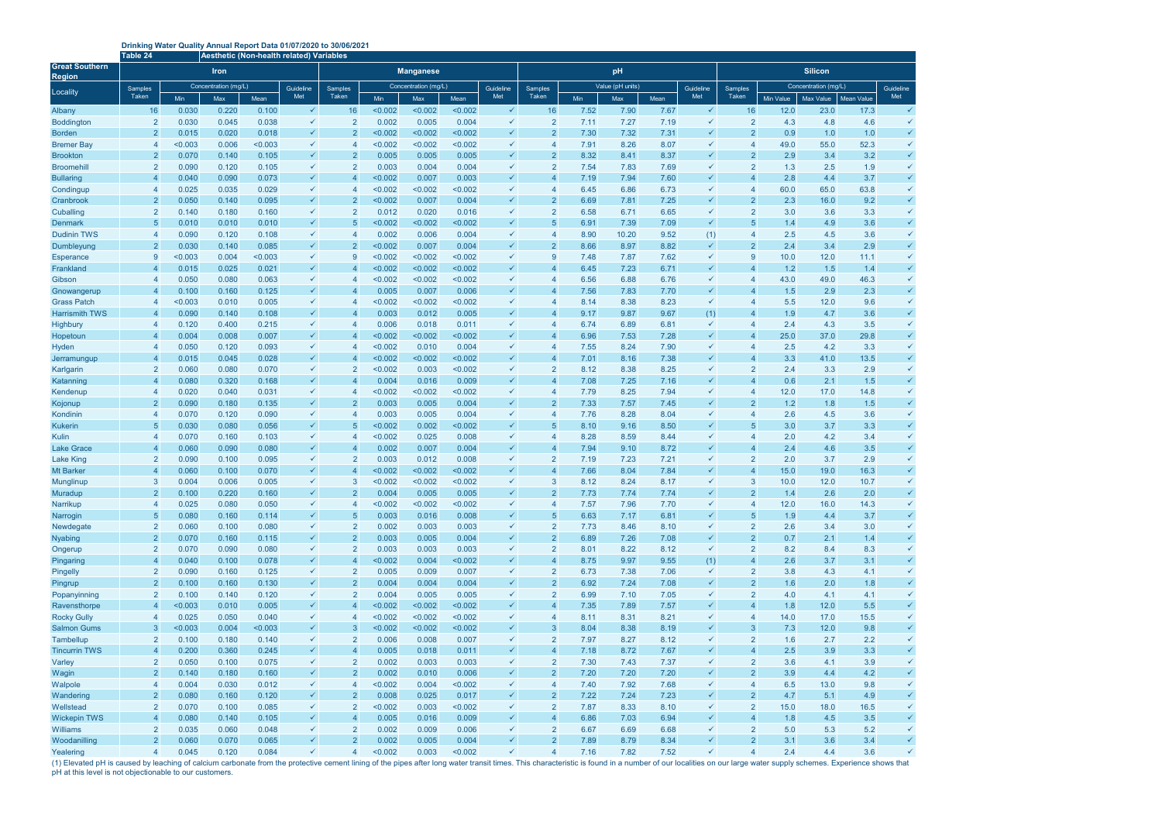## **Drinking Water Quality Annual Report Data 01/07/2020 to 30/06/2021**

(1) Elevated pH is caused by leaching of calcium carbonate from the protective cement lining of the pipes after long water transit times. This characteristic is found in a number of our localities on our large water supply pH at this level is not objectionable to our customers.

|                                                    | Fable 24<br>Aesthetic (Non-health related) Variables |                      |                |                |                              |                                  |                      |                  |                  |                              |                                  |                  |              |              |                              |                                  |                      |             |             |              |  |
|----------------------------------------------------|------------------------------------------------------|----------------------|----------------|----------------|------------------------------|----------------------------------|----------------------|------------------|------------------|------------------------------|----------------------------------|------------------|--------------|--------------|------------------------------|----------------------------------|----------------------|-------------|-------------|--------------|--|
| <b>Great Southern</b><br><b>Region</b><br>Locality |                                                      |                      | <b>Iron</b>    |                |                              | <b>Manganese</b>                 |                      |                  |                  |                              |                                  |                  | pH           |              |                              | <b>Silicon</b>                   |                      |             |             |              |  |
|                                                    | <b>Samples</b>                                       | Concentration (mg/L) |                |                | Guideline                    | <b>Samples</b>                   | Concentration (mg/L) |                  |                  | Guideline                    | <b>Samples</b>                   | Value (pH units) |              |              | Guideline                    | <b>Samples</b>                   | Concentration (mg/L) |             |             | Guideline    |  |
|                                                    | <b>Taken</b>                                         | Min                  | Max            | Mean           | Met                          | Taken                            | Min                  | Max              | Mean             | Met                          | Taken                            | Min              | Max          | Mean         | Met                          | <b>Taken</b>                     | Min Value            | Max Value   | Mean Value  | Met          |  |
| Albany                                             | 16                                                   | 0.030                | 0.220          | 0.100          | $\checkmark$                 | 16                               | < 0.002              | < 0.002          | < 0.002          | $\checkmark$                 | 16                               | 7.52             | 7.90         | 7.67         | $\checkmark$                 | 16                               | 12.0                 | 23.0        | 17.3        | $\checkmark$ |  |
| <b>Boddington</b>                                  | $\overline{2}$                                       | 0.030                | 0.045          | 0.038          | $\checkmark$                 | $\overline{2}$                   | 0.002                | 0.005            | 0.004            | $\checkmark$                 | $\overline{2}$                   | 7.11             | 7.27         | 7.19         | $\checkmark$                 | $\overline{2}$                   | 4.3                  | 4.8         | 4.6         | $\checkmark$ |  |
| <b>Borden</b>                                      | $\overline{2}$                                       | 0.015                | 0.020          | 0.018          |                              | $\overline{2}$                   | < 0.002              | < 0.002          | < 0.002          | $\checkmark$                 | $\overline{2}$                   | 7.30             | 7.32         | 7.31         | $\checkmark$                 | 2 <sup>1</sup>                   | 0.9                  | 1.0         | 1.0         |              |  |
| <b>Bremer Bay</b>                                  | $\overline{4}$                                       | < 0.003              | 0.006          | < 0.003        | $\checkmark$                 | $\overline{4}$                   | < 0.002              | < 0.002          | < 0.002          | $\checkmark$                 | $\overline{4}$                   | 7.91             | 8.26         | 8.07         | $\checkmark$                 | $\overline{4}$                   | 49.0                 | 55.0        | 52.3        |              |  |
| <b>Brookton</b><br><b>Broomehill</b>               | $\overline{2}$<br>$\overline{2}$                     | 0.070<br>0.090       | 0.140<br>0.120 | 0.105<br>0.105 |                              | $\overline{2}$<br>$\overline{2}$ | 0.005<br>0.003       | 0.005<br>0.004   | 0.005<br>0.004   | $\checkmark$<br>$\checkmark$ | $\overline{2}$<br>$\overline{2}$ | 8.32<br>7.54     | 8.41<br>7.83 | 8.37<br>7.69 | ✓                            | 2 <sup>1</sup><br>$\overline{2}$ | 2.9<br>1.3           | 3.4<br>2.5  | 3.2<br>1.9  |              |  |
| <b>Bullaring</b>                                   | $\overline{4}$                                       | 0.040                | 0.090          | 0.073          |                              | $\overline{4}$                   | < 0.002              | 0.007            | 0.003            | $\checkmark$                 |                                  | 7.19             | 7.94         | 7.60         |                              | $\overline{4}$                   | 2.8                  | 4.4         | 3.7         |              |  |
| Condingup                                          | $\overline{4}$                                       | 0.025                | 0.035          | 0.029          | $\checkmark$                 | $\overline{4}$                   | < 0.002              | < 0.002          | < 0.002          | $\checkmark$                 |                                  | 6.45             | 6.86         | 6.73         | $\checkmark$                 | $\overline{4}$                   | 60.0                 | 65.0        | 63.8        |              |  |
| Cranbrook                                          | $\overline{2}$                                       | 0.050                | 0.140          | 0.095          |                              | $\overline{2}$                   | < 0.002              | 0.007            | 0.004            | $\checkmark$                 |                                  | 6.69             | 7.81         | 7.25         |                              | $\overline{2}$                   | 2.3                  | 16.0        | 9.2         |              |  |
| Cuballing                                          | 2                                                    | 0.140                | 0.180          | 0.160          | $\checkmark$                 | $\overline{2}$                   | 0.012                | 0.020            | 0.016            | $\checkmark$                 | $\overline{2}$                   | 6.58             | 6.71         | 6.65         | $\checkmark$                 | $\overline{2}$                   | 3.0                  | 3.6         | 3.3         |              |  |
| <b>Denmark</b>                                     | 5                                                    | 0.010                | 0.010          | 0.010          | $\checkmark$                 | 5                                | < 0.002              | < 0.002          | < 0.002          | $\checkmark$                 | 5                                | 6.91             | 7.39         | 7.09         | $\checkmark$                 | 5                                | 1.4                  | 4.9         | 3.6         |              |  |
| <b>Dudinin TWS</b>                                 | $\overline{4}$                                       | 0.090                | 0.120          | 0.108          | $\checkmark$                 | $\overline{4}$                   | 0.002                | 0.006            | 0.004            | $\checkmark$                 | $\overline{A}$                   | 8.90             | 10.20        | 9.52         | (1)                          | 4                                | 2.5                  | 4.5         | 3.6         |              |  |
| Dumbleyung                                         | $\overline{2}$                                       | 0.030                | 0.140          | 0.085          | $\checkmark$                 | $\overline{2}$                   | < 0.002              | 0.007            | 0.004            | $\checkmark$                 | $\overline{2}$                   | 8.66             | 8.97         | 8.82         | $\checkmark$                 | 2 <sup>1</sup>                   | 2.4                  | 3.4         | 2.9         | $\checkmark$ |  |
| <b>Esperance</b>                                   | 9                                                    | < 0.003              | 0.004          | < 0.003        | $\checkmark$                 | 9                                | < 0.002              | < 0.002          | < 0.002          | $\checkmark$                 | 9                                | 7.48             | 7.87         | 7.62         | $\checkmark$                 | 9                                | 10.0                 | 12.0        | 11.1        | $\checkmark$ |  |
| Frankland                                          | $\overline{4}$                                       | 0.015                | 0.025          | 0.021          |                              | $\overline{4}$                   | < 0.002              | < 0.002          | < 0.002          | $\checkmark$                 |                                  | 6.45             | 7.23         | 6.71         | $\checkmark$                 | $\overline{\mathbf{A}}$          | 1.2                  | 1.5         | 1.4         | $\checkmark$ |  |
| Gibson                                             | $\overline{4}$                                       | 0.050                | 0.080          | 0.063          | $\checkmark$                 | $\overline{4}$                   | < 0.002              | < 0.002          | < 0.002          | $\checkmark$                 | 4                                | 6.56             | 6.88         | 6.76         | $\checkmark$                 | $\overline{4}$                   | 43.0                 | 49.0        | 46.3        |              |  |
| Gnowangerup                                        | $\overline{4}$                                       | 0.100                | 0.160          | 0.125          | $\checkmark$                 | $\overline{4}$                   | 0.005                | 0.007            | 0.006            | $\checkmark$                 | $\boldsymbol{\Delta}$            | 7.56             | 7.83         | 7.70         | $\checkmark$                 | $\overline{4}$                   | 1.5                  | 2.9         | 2.3         | $\checkmark$ |  |
| <b>Grass Patch</b>                                 | $\overline{4}$                                       | < 0.003              | 0.010          | 0.005          | $\checkmark$                 | $\overline{4}$                   | < 0.002              | < 0.002          | < 0.002          | $\checkmark$                 |                                  | 8.14             | 8.38         | 8.23         | $\checkmark$                 | 4                                | 5.5                  | 12.0        | 9.6         |              |  |
| <b>Harrismith TWS</b>                              | $\overline{4}$                                       | 0.090                | 0.140          | 0.108          | $\checkmark$                 | $\overline{4}$                   | 0.003                | 0.012            | 0.005            | $\checkmark$                 |                                  | 9.17             | 9.87         | 9.67         | (1)                          | $\overline{4}$                   | 1.9                  | 4.7         | 3.6         |              |  |
| Highbury                                           | $\overline{4}$                                       | 0.120                | 0.400          | 0.215          | $\checkmark$                 | $\overline{4}$                   | 0.006                | 0.018            | 0.011            | $\checkmark$                 |                                  | 6.74             | 6.89         | 6.81         | $\checkmark$                 | $\overline{4}$                   | 2.4                  | 4.3         | 3.5         |              |  |
| Hopetoun                                           | $\overline{4}$                                       | 0.004                | 0.008          | 0.007          |                              | $\overline{4}$                   | < 0.002              | < 0.002          | < 0.002          | $\checkmark$                 |                                  | 6.96             | 7.53         | 7.28         | $\checkmark$                 | 4                                | 25.0                 | 37.0        | 29.8        |              |  |
| Hyden                                              | $\overline{4}$                                       | 0.050                | 0.120          | 0.093          |                              | $\overline{4}$                   | < 0.002              | 0.010            | 0.004            | $\checkmark$                 | $\overline{4}$                   | 7.55             | 8.24         | 7.90         | ✓                            | 4                                | 2.5                  | 4.2         | 3.3         |              |  |
| Jerramungup                                        | $\overline{4}$                                       | 0.015                | 0.045          | 0.028          | $\checkmark$                 | $\overline{4}$                   | < 0.002              | < 0.002          | < 0.002          | $\checkmark$                 | $\boldsymbol{\Delta}$            | 7.01             | 8.16         | 7.38         | $\checkmark$                 | $\overline{4}$                   | 3.3                  | 41.0        | 13.5        |              |  |
| Karlgarin                                          | $\overline{2}$                                       | 0.060                | 0.080          | 0.070          | $\checkmark$                 | $\overline{2}$                   | < 0.002              | 0.003            | < 0.002          | $\checkmark$                 | $\overline{2}$                   | 8.12             | 8.38         | 8.25         | $\checkmark$<br>$\checkmark$ | $\overline{2}$                   | 2.4                  | 3.3         | 2.9         | $\checkmark$ |  |
| Katanning                                          | $\overline{4}$                                       | 0.080                | 0.320          | 0.168          | $\checkmark$<br>$\checkmark$ | $\overline{4}$<br>$\overline{4}$ | 0.004<br>< 0.002     | 0.016            | 0.009            | $\checkmark$<br>$\checkmark$ | $\overline{4}$<br>$\overline{4}$ | 7.08             | 7.25         | 7.16         |                              | 4<br>4                           | 0.6                  | 2.1         | 1.5         |              |  |
| Kendenup<br>Kojonup                                | $\overline{4}$<br>$\overline{2}$                     | 0.020<br>0.090       | 0.040<br>0.180 | 0.031<br>0.135 |                              | $\overline{2}$                   | 0.003                | < 0.002<br>0.005 | < 0.002<br>0.004 | $\checkmark$                 | $\mathcal{P}$                    | 7.79<br>7.33     | 8.25<br>7.57 | 7.94<br>7.45 | $\checkmark$                 | 2                                | 12.0<br>1.2          | 17.0<br>1.8 | 14.8<br>1.5 | $\checkmark$ |  |
| Kondinin                                           | $\overline{4}$                                       | 0.070                | 0.120          | 0.090          | $\checkmark$                 | $\overline{4}$                   | 0.003                | 0.005            | 0.004            | $\checkmark$                 | 4                                | 7.76             | 8.28         | 8.04         | $\checkmark$                 | 4                                | 2.6                  | 4.5         | 3.6         |              |  |
| <b>Kukerin</b>                                     | 5                                                    | 0.030                | 0.080          | 0.056          |                              | 5                                | < 0.002              | 0.002            | < 0.002          | $\checkmark$                 | 5                                | 8.10             | 9.16         | 8.50         | $\checkmark$                 | 5                                | 3.0                  | 3.7         | 3.3         |              |  |
| Kulin                                              | $\overline{4}$                                       | 0.070                | 0.160          | 0.103          | $\checkmark$                 | $\overline{4}$                   | < 0.002              | 0.025            | 0.008            | $\checkmark$                 |                                  | 8.28             | 8.59         | 8.44         |                              | $\overline{4}$                   | 2.0                  | 4.2         | 3.4         |              |  |
| <b>Lake Grace</b>                                  | $\overline{4}$                                       | 0.060                | 0.090          | 0.080          |                              | $\overline{4}$                   | 0.002                | 0.007            | 0.004            | $\checkmark$                 |                                  | 7.94             | 9.10         | 8.72         |                              | $\overline{4}$                   | 2.4                  | 4.6         | 3.5         |              |  |
| <b>Lake King</b>                                   | $\overline{2}$                                       | 0.090                | 0.100          | 0.095          | $\checkmark$                 | $\overline{2}$                   | 0.003                | 0.012            | 0.008            | $\checkmark$                 | $\overline{2}$                   | 7.19             | 7.23         | 7.21         |                              | $\overline{2}$                   | 2.0                  | 3.7         | 2.9         |              |  |
| <b>Mt Barker</b>                                   | $\overline{4}$                                       | 0.060                | 0.100          | 0.070          |                              | $\overline{4}$                   | < 0.002              | < 0.002          | < 0.002          |                              |                                  | 7.66             | 8.04         | 7.84         |                              | $\overline{\mathbf{A}}$          | 15.0                 | 19.0        | 16.3        |              |  |
| <b>Munglinup</b>                                   | 3                                                    | 0.004                | 0.006          | 0.005          |                              | 3                                | < 0.002              | < 0.002          | < 0.002          | $\checkmark$                 | 3                                | 8.12             | 8.24         | 8.17         |                              | 3                                | 10.0                 | 12.0        | 10.7        |              |  |
| Muradup                                            | ∠                                                    | 0.100                | 0.220          | 0.160          |                              | $\sim$                           | 0.004                | 0.005            | 0.005            | $\checkmark$                 |                                  | 7.73             | 7.74         | 7.74         | $\checkmark$                 | $\sim$                           | 1.4                  | 2.6         | 2.0         |              |  |
| Narrikup                                           | $\overline{4}$                                       | 0.025                | 0.080          | 0.050          | $\checkmark$                 | $\overline{4}$                   | < 0.002              | < 0.002          | < 0.002          | $\checkmark$                 | $\overline{4}$                   | 7.57             | 7.96         | 7.70         | $\checkmark$                 | $\overline{4}$                   | 12.0                 | 16.0        | 14.3        |              |  |
| Narrogin                                           | 5                                                    | 0.080                | 0.160          | 0.114          | $\checkmark$                 | 5                                | 0.003                | 0.016            | 0.008            | $\checkmark$                 | 5                                | 6.63             | 7.17         | 6.81         | $\checkmark$                 | 5 <sup>5</sup>                   | 1.9                  | 4.4         | 3.7         |              |  |
| Newdegate                                          | $\overline{2}$                                       | 0.060                | 0.100          | 0.080          | $\checkmark$                 | $\overline{2}$                   | 0.002                | 0.003            | 0.003            | $\checkmark$                 | $\overline{2}$                   | 7.73             | 8.46         | 8.10         | $\checkmark$                 | $\overline{2}$                   | 2.6                  | 3.4         | 3.0         |              |  |
| <b>Nyabing</b>                                     | $\overline{2}$                                       | 0.070                | 0.160          | 0.115          | $\checkmark$                 | $\overline{2}$                   | 0.003                | 0.005            | 0.004            | $\checkmark$                 | $\overline{2}$                   | 6.89             | 7.26         | 7.08         | $\checkmark$                 | 2 <sup>1</sup>                   | 0.7                  | 2.1         | 1.4         | $\checkmark$ |  |
| Ongerup                                            | $\overline{2}$                                       | 0.070                | 0.090          | 0.080          | $\checkmark$                 | $\overline{2}$                   | 0.003                | 0.003            | 0.003            | $\checkmark$                 | $\overline{2}$                   | 8.01             | 8.22         | 8.12         | $\checkmark$                 | $\overline{2}$                   | 8.2                  | 8.4         | 8.3         |              |  |
| Pingaring                                          | $\overline{4}$                                       | 0.040                | 0.100          | 0.078          | $\checkmark$                 | $\overline{4}$                   | < 0.002              | 0.004            | < 0.002          | $\checkmark$                 | $\overline{4}$                   | 8.75             | 9.97         | 9.55         | (1)                          | $\overline{4}$                   | 2.6                  | 3.7         | 3.1         |              |  |
| Pingelly                                           | $\overline{2}$                                       | 0.090                | 0.160          | 0.125          | $\checkmark$                 | $\overline{2}$                   | 0.005                | 0.009            | 0.007            | $\checkmark$                 | $\overline{2}$                   | 6.73             | 7.38         | 7.06         | $\checkmark$                 | $\overline{2}$                   | 3.8                  | 4.3         | 4.1         |              |  |
| Pingrup                                            | $\overline{2}$                                       | 0.100                | 0.160          | 0.130          | $\checkmark$                 | $\overline{2}$                   | 0.004                | 0.004            | 0.004            | $\checkmark$<br>$\checkmark$ | $\overline{2}$                   | 6.92             | 7.24         | 7.08         | $\checkmark$<br>$\checkmark$ | $\overline{2}$                   | 1.6                  | 2.0         | 1.8         |              |  |
| Popanyinning<br>Ravensthorpe                       | $\overline{a}$<br>$\overline{4}$                     | 0.100<br>< 0.003     | 0.140<br>0.010 | 0.120<br>0.005 | $\checkmark$<br>$\checkmark$ | $\overline{2}$<br>$\overline{4}$ | 0.004<br>< 0.002     | 0.005<br>< 0.002 | 0.005<br>< 0.002 | $\checkmark$                 | $\overline{2}$<br>$\overline{4}$ | 6.99<br>7.35     | 7.10<br>7.89 | 7.05<br>7.57 | $\checkmark$                 | $\overline{2}$<br>$\overline{4}$ | 4.0<br>1.8           | 4.1<br>12.0 | 4.1<br>5.5  |              |  |
| <b>Rocky Gully</b>                                 | $\overline{4}$                                       | 0.025                | 0.050          | 0.040          | $\checkmark$                 | $\overline{4}$                   | < 0.002              | < 0.002          | < 0.002          | $\checkmark$                 | $\overline{4}$                   | 8.11             | 8.31         | 8.21         | $\checkmark$                 | $\overline{4}$                   | 14.0                 | 17.0        | 15.5        |              |  |
| <b>Salmon Gums</b>                                 | $\mathbf{3}$                                         | < 0.003              | 0.004          | < 0.003        | $\checkmark$                 | $\mathbf{3}$                     | < 0.002              | < 0.002          | < 0.002          | $\checkmark$                 | 3                                | 8.04             | 8.38         | 8.19         | $\checkmark$                 | 3 <sup>1</sup>                   | 7.3                  | 12.0        | 9.8         |              |  |
| Tambellup                                          | $\overline{2}$                                       | 0.100                | 0.180          | 0.140          | $\checkmark$                 | $\overline{2}$                   | 0.006                | 0.008            | 0.007            | $\checkmark$                 | $\overline{2}$                   | 7.97             | 8.27         | 8.12         | $\checkmark$                 | $\overline{2}$                   | 1.6                  | 2.7         | 2.2         |              |  |
| <b>Tincurrin TWS</b>                               | $\overline{4}$                                       | 0.200                | 0.360          | 0.245          | $\checkmark$                 | $\overline{4}$                   | 0.005                | 0.018            | 0.011            | $\checkmark$                 | $\overline{4}$                   | 7.18             | 8.72         | 7.67         | $\checkmark$                 | $\overline{4}$                   | 2.5                  | 3.9         | 3.3         |              |  |
| Varley                                             | $\overline{2}$                                       | 0.050                | 0.100          | 0.075          | $\checkmark$                 | $\overline{2}$                   | 0.002                | 0.003            | 0.003            | $\checkmark$                 | $\overline{2}$                   | 7.30             | 7.43         | 7.37         | $\checkmark$                 | $\overline{2}$                   | 3.6                  | 4.1         | 3.9         |              |  |
| Wagin                                              | $\overline{2}$                                       | 0.140                | 0.180          | 0.160          | $\checkmark$                 | $\overline{2}$                   | 0.002                | 0.010            | 0.006            | $\checkmark$                 | $\overline{2}$                   | 7.20             | 7.20         | 7.20         | $\checkmark$                 | 2 <sup>1</sup>                   | 3.9                  | 4.4         | 4.2         | $\checkmark$ |  |
| Walpole                                            | $\overline{4}$                                       | 0.004                | 0.030          | 0.012          | $\checkmark$                 | $\overline{4}$                   | < 0.002              | 0.004            | < 0.002          | $\checkmark$                 | $\overline{4}$                   | 7.40             | 7.92         | 7.68         | $\checkmark$                 | $\overline{4}$                   | 6.5                  | 13.0        | 9.8         |              |  |
| Wandering                                          | $\overline{2}$                                       | 0.080                | 0.160          | 0.120          | $\checkmark$                 | $\overline{2}$                   | 0.008                | 0.025            | 0.017            | $\checkmark$                 | $\overline{2}$                   | 7.22             | 7.24         | 7.23         | $\checkmark$                 | 2 <sup>1</sup>                   | 4.7                  | 5.1         | 4.9         | $\checkmark$ |  |
| Wellstead                                          | $\overline{2}$                                       | 0.070                | 0.100          | 0.085          | $\checkmark$                 | $\overline{2}$                   | < 0.002              | 0.003            | < 0.002          | $\checkmark$                 | $\overline{2}$                   | 7.87             | 8.33         | 8.10         | $\checkmark$                 | $\overline{2}$                   | 15.0                 | 18.0        | 16.5        |              |  |
| <b>Wickepin TWS</b>                                | $\overline{4}$                                       | 0.080                | 0.140          | 0.105          | $\checkmark$                 | $\overline{4}$                   | 0.005                | 0.016            | 0.009            | $\checkmark$                 | $\overline{4}$                   | 6.86             | 7.03         | 6.94         | $\checkmark$                 | $\overline{4}$                   | 1.8                  | 4.5         | 3.5         | ✓            |  |
| <b>Williams</b>                                    | $\overline{2}$                                       | 0.035                | 0.060          | 0.048          | $\checkmark$                 | $\overline{2}$                   | 0.002                | 0.009            | 0.006            | $\checkmark$                 | $\overline{2}$                   | 6.67             | 6.69         | 6.68         | $\checkmark$                 | $\overline{2}$                   | 5.0                  | 5.3         | 5.2         |              |  |
| Woodanilling                                       | $\overline{2}$                                       | 0.060                | 0.070          | 0.065          | $\checkmark$                 | $\overline{2}$                   | 0.002                | 0.005            | 0.004            | $\checkmark$                 | $\overline{2}$                   | 7.89             | 8.79         | 8.34         | $\checkmark$                 | $\overline{2}$                   | 3.1                  | 3.6         | 3.4         |              |  |
| Yealering                                          | $\overline{4}$                                       | 0.045                | 0.120          | 0.084          | $\checkmark$                 | $\overline{4}$                   | < 0.002              | 0.003            | < 0.002          | $\checkmark$                 | $\overline{4}$                   | 7.16             | 7.82         | 7.52         | $\checkmark$                 | $\overline{4}$                   | 2.4                  | 4.4         | 3.6         |              |  |